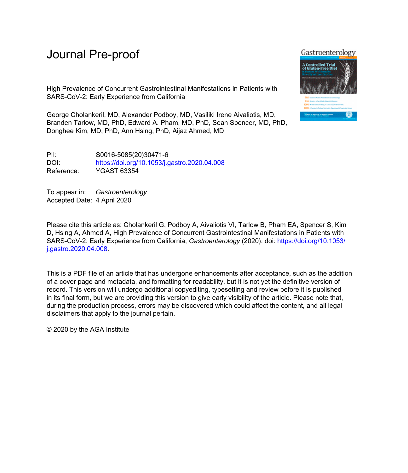# Journal Pre-proof

High Prevalence of Concurrent Gastrointestinal Manifestations in Patients with SARS-CoV-2: Early Experience from California

George Cholankeril, MD, Alexander Podboy, MD, Vasiliki Irene Aivaliotis, MD, Branden Tarlow, MD, PhD, Edward A. Pham, MD, PhD, Sean Spencer, MD, PhD, Donghee Kim, MD, PhD, Ann Hsing, PhD, Aijaz Ahmed, MD

PII: S0016-5085(20)30471-6 DOI: <https://doi.org/10.1053/j.gastro.2020.04.008> Reference: YGAST 63354

To appear in: Gastroenterology Accepted Date: 4 April 2020

Please cite this article as: Cholankeril G, Podboy A, Aivaliotis VI, Tarlow B, Pham EA, Spencer S, Kim D, Hsing A, Ahmed A, High Prevalence of Concurrent Gastrointestinal Manifestations in Patients with SARS-CoV-2: Early Experience from California, *Gastroenterology* (2020), doi: [https://doi.org/10.1053/](https://doi.org/10.1053/j.gastro.2020.04.008) [j.gastro.2020.04.008](https://doi.org/10.1053/j.gastro.2020.04.008).

This is a PDF file of an article that has undergone enhancements after acceptance, such as the addition of a cover page and metadata, and formatting for readability, but it is not yet the definitive version of record. This version will undergo additional copyediting, typesetting and review before it is published in its final form, but we are providing this version to give early visibility of the article. Please note that, during the production process, errors may be discovered which could affect the content, and all legal disclaimers that apply to the journal pertain.

© 2020 by the AGA Institute



#### Gastroenterology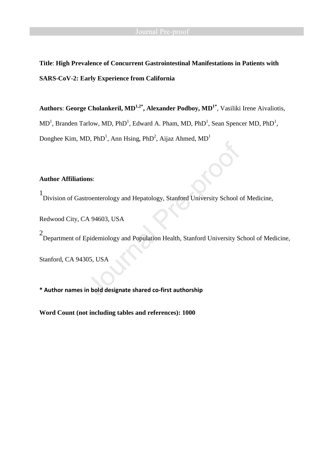**Title**: **High Prevalence of Concurrent Gastrointestinal Manifestations in Patients with SARS-CoV-2: Early Experience from California** 

**Authors**: **George Cholankeril, MD1,2\*, Alexander Podboy, MD1\***, Vasiliki Irene Aivaliotis,  $MD<sup>1</sup>$ , Branden Tarlow, MD, PhD<sup>1</sup>, Edward A. Pham, MD, PhD<sup>1</sup>, Sean Spencer MD, PhD<sup>1</sup>, Donghee Kim, MD, PhD<sup>1</sup>, Ann Hsing, PhD<sup>2</sup>, Aijaz Ahmed, MD<sup>1</sup>

## **Author Affiliations**:

1 Division of Gastroenterology and Hepatology, Stanford University School of Medicine,

Redwood City, CA 94603, USA

2 Department of Epidemiology and Population Health, Stanford University School of Medicine,

Stanford, CA 94305, USA

# **\* Author names in bold designate shared co-first authorship**

**Word Count (not including tables and references): 1000**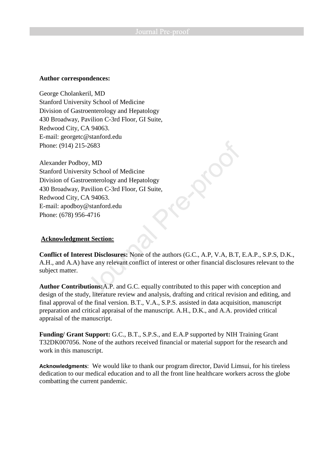### **Author correspondences:**

George Cholankeril, MD Stanford University School of Medicine Division of Gastroenterology and Hepatology 430 Broadway, Pavilion C-3rd Floor, GI Suite, Redwood City, CA 94063. E-mail: georgetc@stanford.edu Phone: (914) 215-2683

Alexander Podboy, MD Stanford University School of Medicine Division of Gastroenterology and Hepatology 430 Broadway, Pavilion C-3rd Floor, GI Suite, Redwood City, CA 94063. E-mail: apodboy@stanford.edu Phone: (678) 956-4716

### **Acknowledgment Section:**

**Conflict of Interest Disclosures:** None of the authors (G.C., A.P, V.A, B.T, E.A.P., S.P.S, D.K., A.H., and A.A) have any relevant conflict of interest or other financial disclosures relevant to the subject matter.

**Author Contributions:**A.P. and G.C. equally contributed to this paper with conception and design of the study, literature review and analysis, drafting and critical revision and editing, and final approval of the final version. B.T., V.A., S.P.S. assisted in data acquisition, manuscript preparation and critical appraisal of the manuscript. A.H., D.K., and A.A. provided critical appraisal of the manuscript.

**Funding/ Grant Support:** G.C., B.T., S.P.S., and E.A.P supported by NIH Training Grant T32DK007056. None of the authors received financial or material support for the research and work in this manuscript.

**Acknowledgments**: We would like to thank our program director, David Limsui, for his tireless dedication to our medical education and to all the front line healthcare workers across the globe combatting the current pandemic.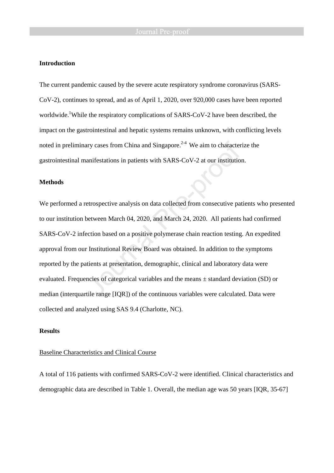### **Introduction**

The current pandemic caused by the severe acute respiratory syndrome coronavirus (SARS-CoV-2), continues to spread, and as of April 1, 2020, over 920,000 cases have been reported worldwide.<sup>1</sup>While the respiratory complications of SARS-CoV-2 have been described, the impact on the gastrointestinal and hepatic systems remains unknown, with conflicting levels noted in preliminary cases from China and Singapore.<sup>2-4</sup> We aim to characterize the gastrointestinal manifestations in patients with SARS-CoV-2 at our institution.

# **Methods**

We performed a retrospective analysis on data collected from consecutive patients who presented to our institution between March 04, 2020, and March 24, 2020. All patients had confirmed SARS-CoV-2 infection based on a positive polymerase chain reaction testing. An expedited approval from our Institutional Review Board was obtained. In addition to the symptoms reported by the patients at presentation, demographic, clinical and laboratory data were evaluated. Frequencies of categorical variables and the means ± standard deviation (SD) or median (interquartile range [IQR]) of the continuous variables were calculated. Data were collected and analyzed using SAS 9.4 (Charlotte, NC).

### **Results**

### Baseline Characteristics and Clinical Course

A total of 116 patients with confirmed SARS-CoV-2 were identified. Clinical characteristics and demographic data are described in Table 1. Overall, the median age was 50 years [IQR, 35-67]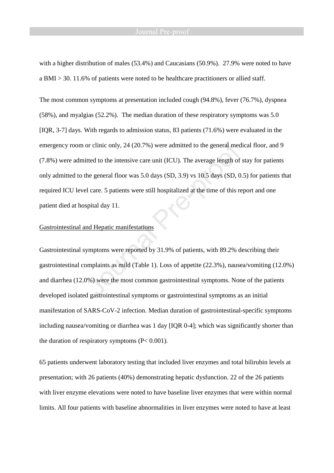with a higher distribution of males (53.4%) and Caucasians (50.9%). 27.9% were noted to have a BMI > 30. 11.6% of patients were noted to be healthcare practitioners or allied staff.

The most common symptoms at presentation included cough (94.8%), fever (76.7%), dyspnea (58%), and myalgias (52.2%). The median duration of these respiratory symptoms was 5.0 [IQR, 3-7] days. With regards to admission status, 83 patients (71.6%) were evaluated in the emergency room or clinic only, 24 (20.7%) were admitted to the general medical floor, and 9 (7.8%) were admitted to the intensive care unit (ICU). The average length of stay for patients only admitted to the general floor was 5.0 days (SD, 3.9) vs 10.5 days (SD, 0.5) for patients that required ICU level care. 5 patients were still hospitalized at the time of this report and one patient died at hospital day 11.

### Gastrointestinal and Hepatic manifestations

Gastrointestinal symptoms were reported by 31.9% of patients, with 89.2% describing their gastrointestinal complaints as mild (Table 1). Loss of appetite (22.3%), nausea/vomiting (12.0%) and diarrhea (12.0%) were the most common gastrointestinal symptoms. None of the patients developed isolated gastrointestinal symptoms or gastrointestinal symptoms as an initial manifestation of SARS-CoV-2 infection. Median duration of gastrointestinal-specific symptoms including nausea/vomiting or diarrhea was 1 day [IQR 0-4]; which was significantly shorter than the duration of respiratory symptoms (P< 0.001).

65 patients underwent laboratory testing that included liver enzymes and total bilirubin levels at presentation; with 26 patients (40%) demonstrating hepatic dysfunction. 22 of the 26 patients with liver enzyme elevations were noted to have baseline liver enzymes that were within normal limits. All four patients with baseline abnormalities in liver enzymes were noted to have at least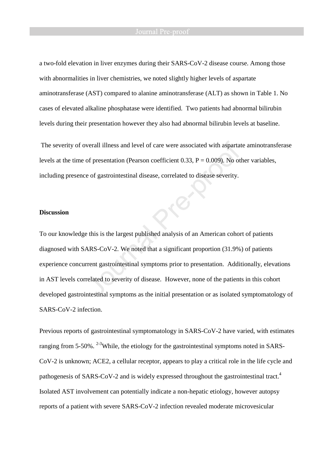a two-fold elevation in liver enzymes during their SARS-CoV-2 disease course. Among those with abnormalities in liver chemistries, we noted slightly higher levels of aspartate aminotransferase (AST) compared to alanine aminotransferase (ALT) as shown in Table 1. No cases of elevated alkaline phosphatase were identified. Two patients had abnormal bilirubin levels during their presentation however they also had abnormal bilirubin levels at baseline.

 The severity of overall illness and level of care were associated with aspartate aminotransferase levels at the time of presentation (Pearson coefficient 0.33,  $P = 0.009$ ). No other variables, including presence of gastrointestinal disease, correlated to disease severity.

### **Discussion**

To our knowledge this is the largest published analysis of an American cohort of patients diagnosed with SARS-CoV-2. We noted that a significant proportion (31.9%) of patients experience concurrent gastrointestinal symptoms prior to presentation. Additionally, elevations in AST levels correlated to severity of disease. However, none of the patients in this cohort developed gastrointestinal symptoms as the initial presentation or as isolated symptomatology of SARS-CoV-2 infection.

Previous reports of gastrointestinal symptomatology in SARS-CoV-2 have varied, with estimates ranging from  $5-50\%$ . <sup>2-3</sup>While, the etiology for the gastrointestinal symptoms noted in SARS-CoV-2 is unknown; ACE2, a cellular receptor, appears to play a critical role in the life cycle and pathogenesis of SARS-CoV-2 and is widely expressed throughout the gastrointestinal tract.<sup>4</sup> Isolated AST involvement can potentially indicate a non-hepatic etiology, however autopsy reports of a patient with severe SARS-CoV-2 infection revealed moderate microvesicular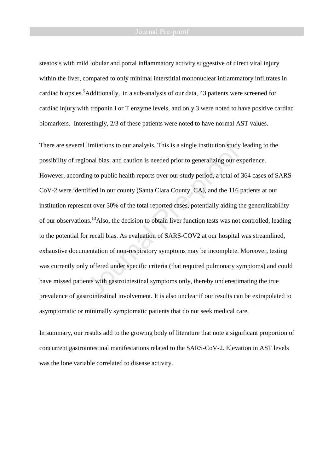steatosis with mild lobular and portal inflammatory activity suggestive of direct viral injury within the liver, compared to only minimal interstitial mononuclear inflammatory infiltrates in cardiac biopsies.<sup>5</sup>Additionally, in a sub-analysis of our data, 43 patients were screened for cardiac injury with troponin I or T enzyme levels, and only 3 were noted to have positive cardiac biomarkers. Interestingly, 2/3 of these patients were noted to have normal AST values.

There are several limitations to our analysis. This is a single institution study leading to the possibility of regional bias, and caution is needed prior to generalizing our experience. However, according to public health reports over our study period, a total of 364 cases of SARS-CoV-2 were identified in our county (Santa Clara County, CA), and the 116 patients at our institution represent over 30% of the total reported cases, potentially aiding the generalizability of our observations.<sup>13</sup>Also, the decision to obtain liver function tests was not controlled, leading to the potential for recall bias. As evaluation of SARS-COV2 at our hospital was streamlined, exhaustive documentation of non-respiratory symptoms may be incomplete. Moreover, testing was currently only offered under specific criteria (that required pulmonary symptoms) and could have missed patients with gastrointestinal symptoms only, thereby underestimating the true prevalence of gastrointestinal involvement. It is also unclear if our results can be extrapolated to asymptomatic or minimally symptomatic patients that do not seek medical care.

In summary, our results add to the growing body of literature that note a significant proportion of concurrent gastrointestinal manifestations related to the SARS-CoV-2. Elevation in AST levels was the lone variable correlated to disease activity.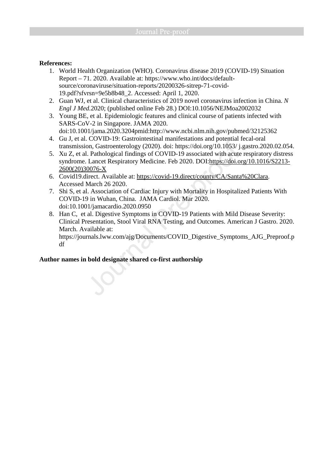# **References:**

- 1. World Health Organization (WHO). Coronavirus disease 2019 (COVID-19) Situation Report – 71. 2020. Available at: https://www.who.int/docs/defaultsource/coronaviruse/situation-reports/20200326-sitrep-71-covid-19.pdf?sfvrsn=9e5b8b48\_2. Accessed: April 1, 2020.
- 2. Guan WJ, et al. Clinical characteristics of 2019 novel coronavirus infection in China. *N Engl J Med.*2020; (published online Feb 28.) DOI:10.1056/NEJMoa2002032
- 3. Young BE, et al. Epidemiologic features and clinical course of patients infected with SARS-CoV-2 in Singapore. JAMA 2020. doi:10.1001/jama.2020.3204pmid:http://www.ncbi.nlm.nih.gov/pubmed/32125362
- 4. Gu J, et al. COVID-19: Gastrointestinal manifestations and potential fecal-oral transmission, Gastroenterology (2020). doi: https://doi.org/10.1053/ j.gastro.2020.02.054.
- 5. Xu Z, et al. Pathological findings of COVID-19 associated with acute respiratory distress syndrome. Lancet Respiratory Medicine. Feb 2020. DOI:https://doi.org/10.1016/S2213- 2600(20)30076-X
- 6. Covid19.direct. Available at: https://covid-19.direct/county/CA/Santa%20Clara. Accessed March 26 2020.
- 7. Shi S, et al. Association of Cardiac Injury with Mortality in Hospitalized Patients With COVID-19 in Wuhan, China. JAMA Cardiol. Mar 2020. doi:10.1001/jamacardio.2020.0950
- 8. Han C, et al. Digestive Symptoms in COVID-19 Patients with Mild Disease Severity: Clinical Presentation, Stool Viral RNA Testing, and Outcomes. American J Gastro. 2020. March. Available at:

https://journals.lww.com/ajg/Documents/COVID\_Digestive\_Symptoms\_AJG\_Preproof.p df

# **Author names in bold designate shared co-first authorship**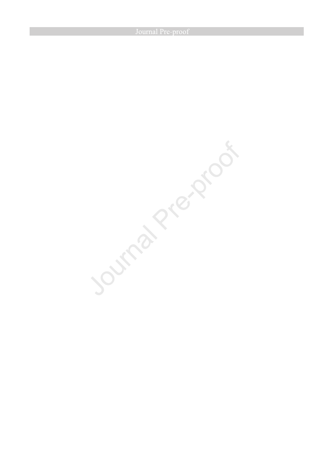Journal Prejous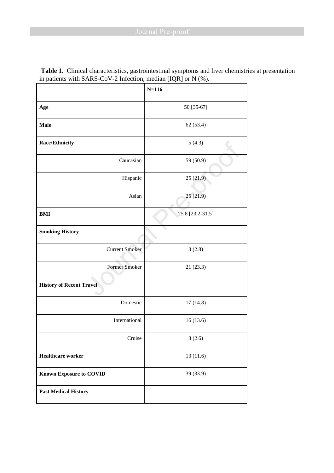|                                 | $N = 116$        |
|---------------------------------|------------------|
| Age                             | 50 [35-67]       |
| <b>Male</b>                     | 62 (53.4)        |
| Race/Ethnicity                  | 5(4.3)           |
| Caucasian                       | 59 (50.9)        |
| Hispanic                        | 25(21.9)         |
| Asian                           | 25(21.9)         |
| <b>BMI</b>                      | 25.8 [23.2-31.5] |
| <b>Smoking History</b>          |                  |
| <b>Current Smoker</b>           | 3(2.8)           |
| Former Smoker                   | 21 (23.3)        |
| <b>History of Recent Travel</b> |                  |
| Domestic                        | 17(14.8)         |
| International                   | 16(13.6)         |
| Cruise                          | 3(2.6)           |
| <b>Healthcare worker</b>        | 13(11.6)         |
| <b>Known Exposure to COVID</b>  | 39 (33.9)        |
| <b>Past Medical History</b>     |                  |

 **Table 1.** Clinical characteristics, gastrointestinal symptoms and liver chemistries at presentation in patients with SARS-CoV-2 Infection, median [IQR] or N (%).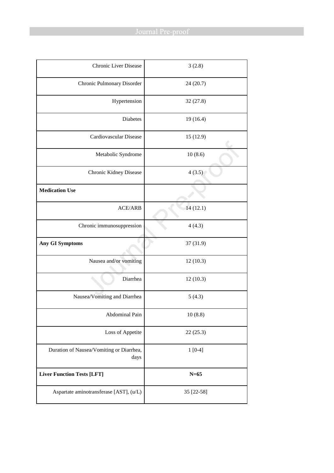| <b>Chronic Liver Disease</b>                     | 3(2.8)    |
|--------------------------------------------------|-----------|
| Chronic Pulmonary Disorder                       | 24 (20.7) |
| Hypertension                                     | 32 (27.8) |
| Diabetes                                         | 19 (16.4) |
| Cardiovascular Disease                           | 15 (12.9) |
| Metabolic Syndrome                               | 10(8.6)   |
| Chronic Kidney Disease                           | 4(3.5)    |
| <b>Medication Use</b>                            |           |
| <b>ACE/ARB</b>                                   | 14(12.1)  |
| Chronic immunosuppression                        | 4(4.3)    |
| Any GI Symptoms                                  | 37 (31.9) |
| Nausea and/or vomiting                           | 12(10.3)  |
| Diarrhea                                         | 12(10.3)  |
| Nausea/Vomiting and Diarrhea                     | 5(4.3)    |
|                                                  |           |
| Abdominal Pain                                   | 10(8.8)   |
| Loss of Appetite                                 | 22(25.3)  |
| Duration of Nausea/Vomiting or Diarrhea,<br>days | $1[0-4]$  |
| <b>Liver Function Tests [LFT]</b>                | $N=65$    |